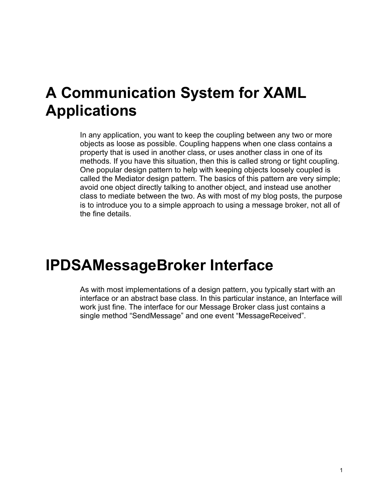## **A Communication System for XAML Applications**

In any application, you want to keep the coupling between any two or more objects as loose as possible. Coupling happens when one class contains a property that is used in another class, or uses another class in one of its methods. If you have this situation, then this is called strong or tight coupling. One popular design pattern to help with keeping objects loosely coupled is called the Mediator design pattern. The basics of this pattern are very simple; avoid one object directly talking to another object, and instead use another class to mediate between the two. As with most of my blog posts, the purpose is to introduce you to a simple approach to using a message broker, not all of the fine details.

## **IPDSAMessageBroker Interface**

As with most implementations of a design pattern, you typically start with an interface or an abstract base class. In this particular instance, an Interface will work just fine. The interface for our Message Broker class just contains a single method "SendMessage" and one event "MessageReceived".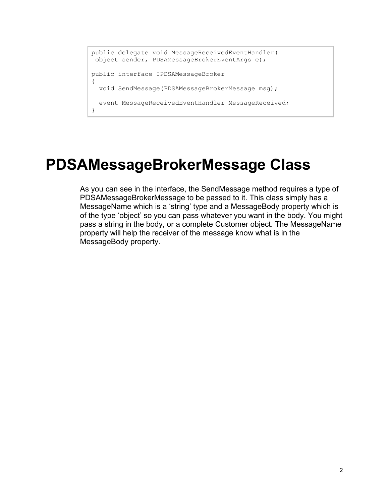```
public delegate void MessageReceivedEventHandler(
 object sender, PDSAMessageBrokerEventArgs e);
public interface IPDSAMessageBroker
{
   void SendMessage(PDSAMessageBrokerMessage msg);
  event MessageReceivedEventHandler MessageReceived;
}
```
### **PDSAMessageBrokerMessage Class**

As you can see in the interface, the SendMessage method requires a type of PDSAMessageBrokerMessage to be passed to it. This class simply has a MessageName which is a 'string' type and a MessageBody property which is of the type 'object' so you can pass whatever you want in the body. You might pass a string in the body, or a complete Customer object. The MessageName property will help the receiver of the message know what is in the MessageBody property.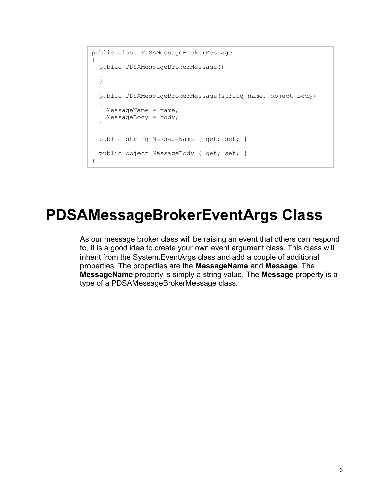```
public class PDSAMessageBrokerMessage
{
  public PDSAMessageBrokerMessage()
   {
   }
  public PDSAMessageBrokerMessage(string name, object body)
\{MessageName = name;MessageBody = body; }
  public string MessageName { get; set; }
 public object MessageBody { get; set; }
}
```
#### **PDSAMessageBrokerEventArgs Class**

As our message broker class will be raising an event that others can respond to, it is a good idea to create your own event argument class. This class will inherit from the System.EventArgs class and add a couple of additional properties. The properties are the **MessageName** and **Message**. The **MessageName** property is simply a string value. The **Message** property is a type of a PDSAMessageBrokerMessage class.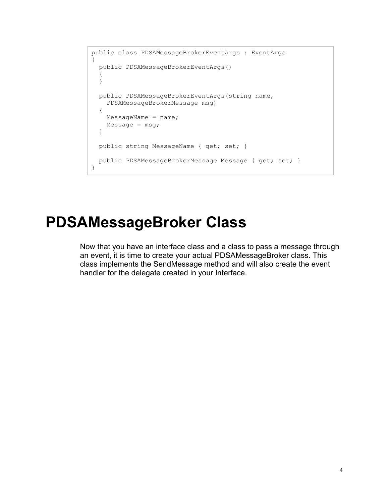```
public class PDSAMessageBrokerEventArgs : EventArgs
{
   public PDSAMessageBrokerEventArgs()
   {
   }
  public PDSAMessageBrokerEventArgs(string name, 
     PDSAMessageBrokerMessage msg)
   {
   MessageName = name;Message = msg; }
 public string MessageName { get; set; }
  public PDSAMessageBrokerMessage Message { get; set; }
}
```
#### **PDSAMessageBroker Class**

Now that you have an interface class and a class to pass a message through an event, it is time to create your actual PDSAMessageBroker class. This class implements the SendMessage method and will also create the event handler for the delegate created in your Interface.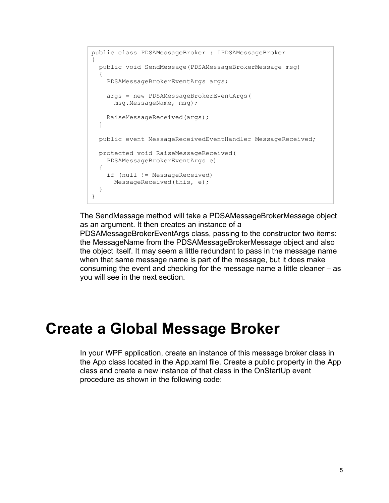```
public class PDSAMessageBroker : IPDSAMessageBroker
{
  public void SendMessage(PDSAMessageBrokerMessage msg)
\{ PDSAMessageBrokerEventArgs args;
     args = new PDSAMessageBrokerEventArgs(
      msg.MessageName, msg);
    RaiseMessageReceived(args);
   }
  public event MessageReceivedEventHandler MessageReceived;
  protected void RaiseMessageReceived(
     PDSAMessageBrokerEventArgs e)
  {
    if (null != MessageReceived)
     MessageReceived(this, e);
   }
}
```
The SendMessage method will take a PDSAMessageBrokerMessage object as an argument. It then creates an instance of a

PDSAMessageBrokerEventArgs class, passing to the constructor two items: the MessageName from the PDSAMessageBrokerMessage object and also the object itself. It may seem a little redundant to pass in the message name when that same message name is part of the message, but it does make consuming the event and checking for the message name a little cleaner – as you will see in the next section.

### **Create a Global Message Broker**

In your WPF application, create an instance of this message broker class in the App class located in the App.xaml file. Create a public property in the App class and create a new instance of that class in the OnStartUp event procedure as shown in the following code: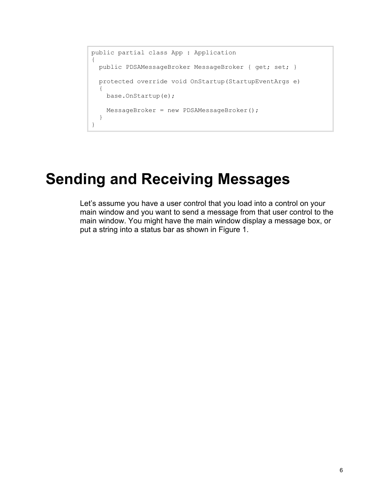```
public partial class App : Application
{
  public PDSAMessageBroker MessageBroker { get; set; }
  protected override void OnStartup(StartupEventArgs e)
   {
    base.OnStartup(e);
    MessageBroker = new PDSAMessageBroker();
   }
}
```
## **Sending and Receiving Messages**

Let's assume you have a user control that you load into a control on your main window and you want to send a message from that user control to the main window. You might have the main window display a message box, or put a string into a status bar as shown in [Figure 1.](#page-6-0)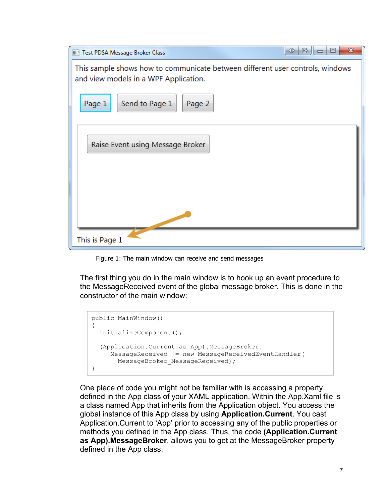| $\mathbf{x}$<br><b>KID</b><br>$\Box$<br>IE<br>Test PDSA Message Broker Class                                           |
|------------------------------------------------------------------------------------------------------------------------|
| This sample shows how to communicate between different user controls, windows<br>and view models in a WPF Application. |
| Send to Page 1<br>Page 1<br>Page 2                                                                                     |
| Raise Event using Message Broker                                                                                       |
| This is Page 1                                                                                                         |

Figure 1: The main window can receive and send messages

<span id="page-6-0"></span>The first thing you do in the main window is to hook up an event procedure to the MessageReceived event of the global message broker. This is done in the constructor of the main window:

```
public MainWindow()
{
   InitializeComponent();
   (Application.Current as App).MessageBroker.
      MessageReceived += new MessageReceivedEventHandler(
       MessageBroker MessageReceived);
}
```
One piece of code you might not be familiar with is accessing a property defined in the App class of your XAML application. Within the App.Xaml file is a class named App that inherits from the Application object. You access the global instance of this App class by using **Application.Current**. You cast Application.Current to 'App' prior to accessing any of the public properties or methods you defined in the App class. Thus, the code **(Application.Current as App).MessageBroker**, allows you to get at the MessageBroker property defined in the App class.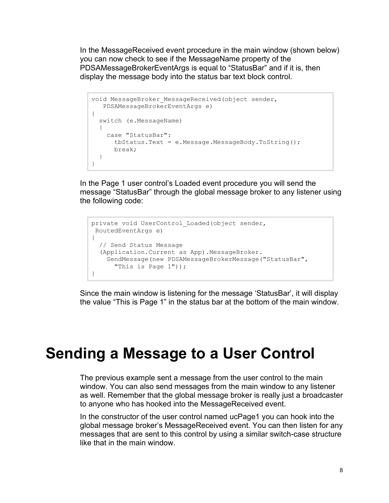In the MessageReceived event procedure in the main window (shown below) you can now check to see if the MessageName property of the PDSAMessageBrokerEventArgs is equal to "StatusBar" and if it is, then display the message body into the status bar text block control.

```
void MessageBroker MessageReceived(object sender,
   PDSAMessageBrokerEventArgs e)
{
  switch (e.MessageName)
  {
    case "StatusBar":
      tbStatus.Text = e.Message.MessageBody.ToString();
      break;
  }
}
```
In the Page 1 user control's Loaded event procedure you will send the message "StatusBar" through the global message broker to any listener using the following code:

```
private void UserControl Loaded(object sender,
RoutedEventArgs e)
{
  // Send Status Message
   (Application.Current as App).MessageBroker.
    SendMessage(new PDSAMessageBrokerMessage("StatusBar",
       "This is Page 1"));
}
```
Since the main window is listening for the message 'StatusBar', it will display the value "This is Page 1" in the status bar at the bottom of the main window.

#### **Sending a Message to a User Control**

The previous example sent a message from the user control to the main window. You can also send messages from the main window to any listener as well. Remember that the global message broker is really just a broadcaster to anyone who has hooked into the MessageReceived event.

In the constructor of the user control named ucPage1 you can hook into the global message broker's MessageReceived event. You can then listen for any messages that are sent to this control by using a similar switch-case structure like that in the main window.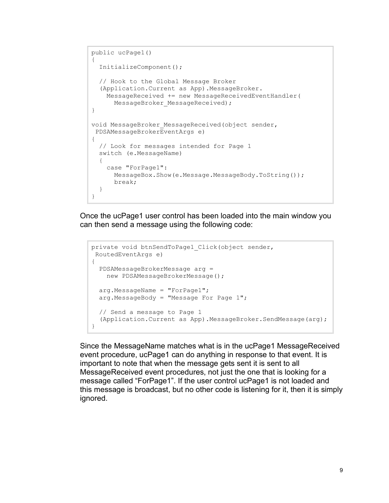```
public ucPage1()
{
  InitializeComponent();
  // Hook to the Global Message Broker
  (Application.Current as App).MessageBroker.
    MessageReceived += new MessageReceivedEventHandler(
      MessageBroker MessageReceived);
}
void MessageBroker MessageReceived(object sender,
PDSAMessageBrokerEventArgs e)
{
  // Look for messages intended for Page 1
  switch (e.MessageName)
   {
    case "ForPage1":
      MessageBox.Show(e.Message.MessageBody.ToString());
      break;
   }
}
```
Once the ucPage1 user control has been loaded into the main window you can then send a message using the following code:

```
private void btnSendToPage1_Click(object sender, 
RoutedEventArgs e)
{
  PDSAMessageBrokerMessage arg = 
    new PDSAMessageBrokerMessage();
  arg.MessageName = "ForPage1";
 arg.MessageBody = "Message For Page 1";
  // Send a message to Page 1
  (Application.Current as App).MessageBroker.SendMessage(arg);
}
```
Since the MessageName matches what is in the ucPage1 MessageReceived event procedure, ucPage1 can do anything in response to that event. It is important to note that when the message gets sent it is sent to all MessageReceived event procedures, not just the one that is looking for a message called "ForPage1". If the user control ucPage1 is not loaded and this message is broadcast, but no other code is listening for it, then it is simply ignored.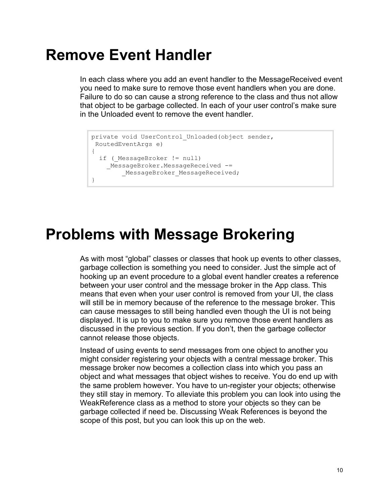### **Remove Event Handler**

In each class where you add an event handler to the MessageReceived event you need to make sure to remove those event handlers when you are done. Failure to do so can cause a strong reference to the class and thus not allow that object to be garbage collected. In each of your user control's make sure in the Unloaded event to remove the event handler.

```
private void UserControl Unloaded (object sender,
RoutedEventArgs e)
{
 if ( MessageBroker != null)
   MessageBroker.MessageReceived -=
        MessageBroker MessageReceived;
}
```
### **Problems with Message Brokering**

As with most "global" classes or classes that hook up events to other classes, garbage collection is something you need to consider. Just the simple act of hooking up an event procedure to a global event handler creates a reference between your user control and the message broker in the App class. This means that even when your user control is removed from your UI, the class will still be in memory because of the reference to the message broker. This can cause messages to still being handled even though the UI is not being displayed. It is up to you to make sure you remove those event handlers as discussed in the previous section. If you don't, then the garbage collector cannot release those objects.

Instead of using events to send messages from one object to another you might consider registering your objects with a central message broker. This message broker now becomes a collection class into which you pass an object and what messages that object wishes to receive. You do end up with the same problem however. You have to un-register your objects; otherwise they still stay in memory. To alleviate this problem you can look into using the WeakReference class as a method to store your objects so they can be garbage collected if need be. Discussing Weak References is beyond the scope of this post, but you can look this up on the web.